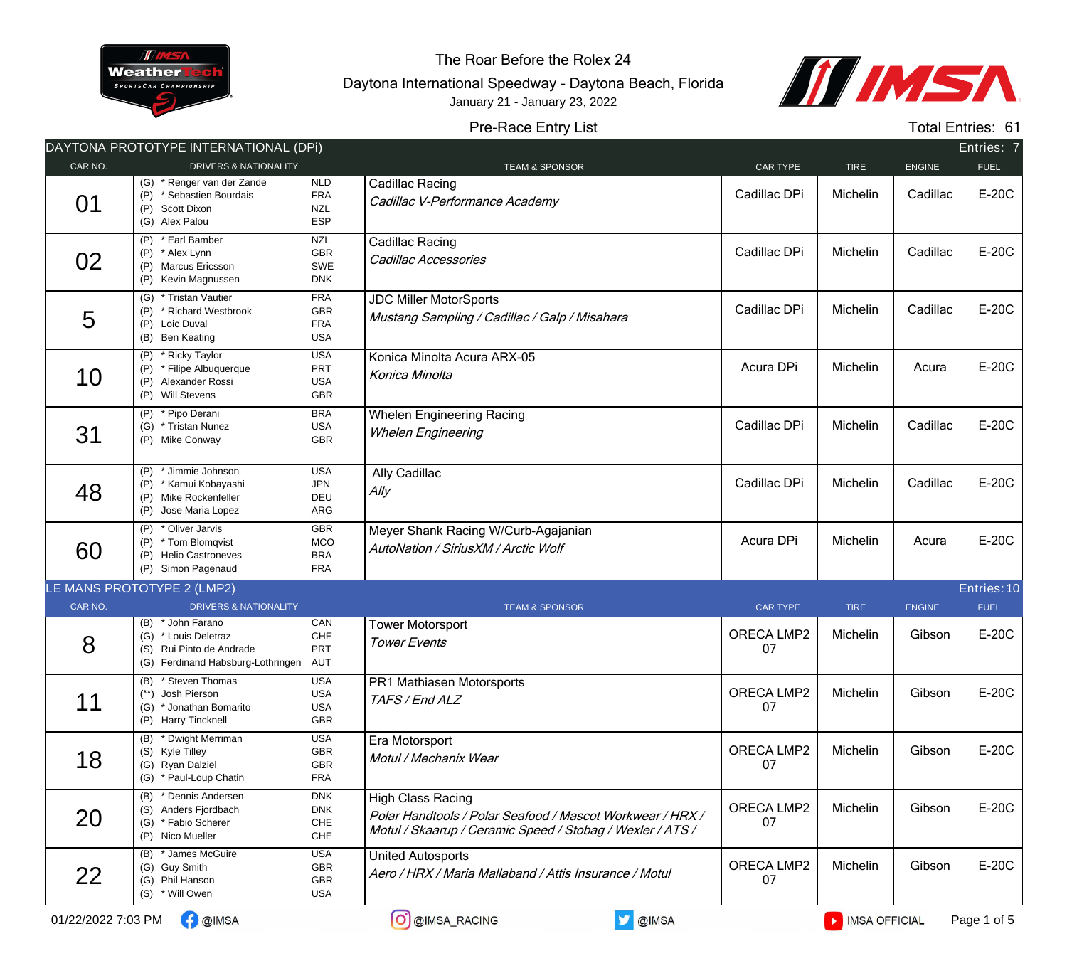

The Roar Before the Rolex 24

Daytona International Speedway - Daytona Beach, Florida January 21 - January 23, 2022



## Pre-Race Entry List

Total Entries: 61

|         | DAYTONA PROTOTYPE INTERNATIONAL (DPI)                                                                      |                                                      |                                                                                                                                                    |                  |             |               | Entries: 7  |
|---------|------------------------------------------------------------------------------------------------------------|------------------------------------------------------|----------------------------------------------------------------------------------------------------------------------------------------------------|------------------|-------------|---------------|-------------|
| CAR NO. | <b>DRIVERS &amp; NATIONALITY</b>                                                                           |                                                      | <b>TEAM &amp; SPONSOR</b>                                                                                                                          | CAR TYPE         | <b>TIRE</b> | <b>ENGINE</b> | <b>FUEL</b> |
| 01      | (G) * Renger van der Zande<br>(P) * Sebastien Bourdais<br>(P) Scott Dixon<br>(G) Alex Palou                | NLD<br><b>FRA</b><br><b>NZL</b><br>ESP               | Cadillac Racing<br>Cadillac V-Performance Academy                                                                                                  | Cadillac DPi     | Michelin    | Cadillac      | E-20C       |
| 02      | (P) * Earl Bamber<br>(P) * Alex Lynn<br>(P) Marcus Ericsson<br>(P) Kevin Magnussen                         | <b>NZL</b><br><b>GBR</b><br>SWE<br><b>DNK</b>        | Cadillac Racing<br>Cadillac Accessories                                                                                                            | Cadillac DPi     | Michelin    | Cadillac      | E-20C       |
| 5       | (G) * Tristan Vautier<br>(P) * Richard Westbrook<br>(P) Loic Duval<br>(B) Ben Keating                      | <b>FRA</b><br><b>GBR</b><br><b>FRA</b><br><b>USA</b> | <b>JDC Miller MotorSports</b><br>Mustang Sampling / Cadillac / Galp / Misahara                                                                     | Cadillac DPi     | Michelin    | Cadillac      | E-20C       |
| 10      | (P) * Ricky Taylor<br>(P) * Filipe Albuquerque<br>(P) Alexander Rossi<br>(P) Will Stevens                  | <b>USA</b><br>PRT<br><b>USA</b><br>GBR               | Konica Minolta Acura ARX-05<br>Konica Minolta                                                                                                      | Acura DPi        | Michelin    | Acura         | E-20C       |
| 31      | * Pipo Derani<br>(P)<br>(G) * Tristan Nunez<br>(P) Mike Conway                                             | <b>BRA</b><br><b>USA</b><br><b>GBR</b>               | <b>Whelen Engineering Racing</b><br><b>Whelen Engineering</b>                                                                                      | Cadillac DPi     | Michelin    | Cadillac      | E-20C       |
| 48      | (P) * Jimmie Johnson<br>(P) * Kamui Kobayashi<br>(P) Mike Rockenfeller<br>(P) Jose Maria Lopez             | <b>USA</b><br><b>JPN</b><br>DEU<br>ARG               | Ally Cadillac<br>$A$ lly                                                                                                                           | Cadillac DPi     | Michelin    | Cadillac      | E-20C       |
| 60      | (P) * Oliver Jarvis<br>(P) * Tom Blomqvist<br>(P) Helio Castroneves<br>(P) Simon Pagenaud                  | <b>GBR</b><br>MCO<br><b>BRA</b><br><b>FRA</b>        | Meyer Shank Racing W/Curb-Agajanian<br>AutoNation / SiriusXM / Arctic Wolf                                                                         | Acura DPi        | Michelin    | Acura         | E-20C       |
|         | LE MANS PROTOTYPE 2 (LMP2)                                                                                 |                                                      |                                                                                                                                                    |                  |             |               | Entries: 10 |
| CAR NO. | DRIVERS & NATIONALITY                                                                                      |                                                      | <b>TEAM &amp; SPONSOR</b>                                                                                                                          | <b>CAR TYPE</b>  | <b>TIRE</b> | <b>ENGINE</b> | <b>FUEL</b> |
| 8       | (B) * John Farano<br>(G) * Louis Deletraz<br>(S) Rui Pinto de Andrade<br>(G) Ferdinand Habsburg-Lothringen | CAN<br>CHE<br>PRT<br>AUT                             | <b>Tower Motorsport</b><br><b>Tower Events</b>                                                                                                     | ORECA LMP2<br>07 | Michelin    | Gibson        | E-20C       |
| 11      | (B) * Steven Thomas<br>(**) Josh Pierson<br>(G) * Jonathan Bomarito<br>(P) Harry Tincknell                 | <b>USA</b><br><b>USA</b><br><b>USA</b><br>GBR        | PR1 Mathiasen Motorsports<br>TAFS / End ALZ                                                                                                        | ORECA LMP2<br>07 | Michelin    | Gibson        | E-20C       |
| 18      | * Dwight Merriman<br>(B)<br>(S) Kyle Tilley<br>(G) Ryan Dalziel<br>(G) * Paul-Loup Chatin                  | <b>USA</b><br>GBR<br>GBR<br><b>FRA</b>               | Era Motorsport<br>Motul / Mechanix Wear                                                                                                            | ORECA LMP2<br>07 | Michelin    | Gibson        | E-20C       |
| 20      | (B) * Dennis Andersen<br>(S) Anders Fjordbach<br>(G) * Fabio Scherer<br>(P) Nico Mueller                   | <b>DNK</b><br><b>DNK</b><br>${\sf CHE}$<br>CHE       | <b>High Class Racing</b><br>Polar Handtools / Polar Seafood / Mascot Workwear / HRX /<br>Motul / Skaarup / Ceramic Speed / Stobag / Wexler / ATS / | ORECA LMP2<br>07 | Michelin    | Gibson        | E-20C       |
| 22      | (B) * James McGuire<br>(G) Guy Smith<br>(G) Phil Hanson<br>(S) * Will Owen                                 | <b>USA</b><br>GBR<br>GBR<br><b>USA</b>               | <b>United Autosports</b><br>Aero / HRX / Maria Mallaband / Attis Insurance / Motul                                                                 | ORECA LMP2<br>07 | Michelin    | Gibson        | E-20C       |
|         |                                                                                                            |                                                      |                                                                                                                                                    |                  |             |               |             |

01/22/2022 7:03 PM  $\bigcirc$  @IMSA  $\bigcirc$  and  $\bigcirc$  @IMSA\_RACING  $\bigcirc$  @IMSA  $\bigcirc$  @IMSA  $\bigcirc$  and  $\bigcirc$  iMSA OFFICIAL Page 1 of 5

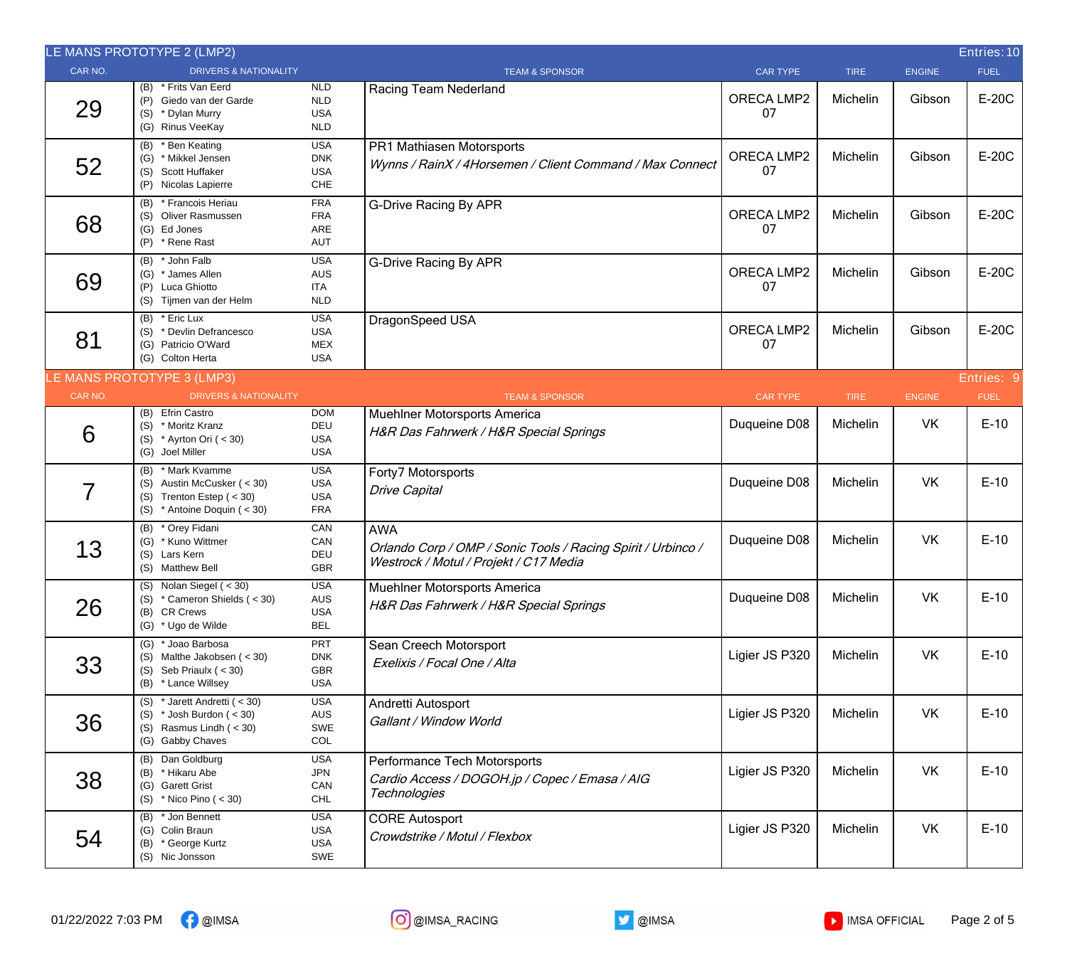|         | LE MANS PROTOTYPE 2 (LMP2)                                                                                      |                                                      |                                                                                                                      |                         |             |               | Entries: 10 |
|---------|-----------------------------------------------------------------------------------------------------------------|------------------------------------------------------|----------------------------------------------------------------------------------------------------------------------|-------------------------|-------------|---------------|-------------|
| CAR NO. | <b>DRIVERS &amp; NATIONALITY</b>                                                                                |                                                      | <b>TEAM &amp; SPONSOR</b>                                                                                            | <b>CAR TYPE</b>         | <b>TIRE</b> | <b>ENGINE</b> | <b>FUEL</b> |
| 29      | (B) * Frits Van Eerd<br>(P) Giedo van der Garde<br>(S) * Dylan Murry<br>(G) Rinus VeeKay                        | <b>NLD</b><br><b>NLD</b><br><b>USA</b><br><b>NLD</b> | Racing Team Nederland                                                                                                | ORECA LMP2<br>07        | Michelin    | Gibson        | E-20C       |
| 52      | (B) * Ben Keating<br>(G) * Mikkel Jensen<br>(S) Scott Huffaker<br>(P) Nicolas Lapierre                          | <b>USA</b><br><b>DNK</b><br><b>USA</b><br>CHE        | PR1 Mathiasen Motorsports<br>Wynns / RainX / 4Horsemen / Client Command / Max Connect                                | ORECA LMP2<br>07        | Michelin    | Gibson        | E-20C       |
| 68      | (B) * Francois Heriau<br>(S) Oliver Rasmussen<br>(G) Ed Jones<br>(P) * Rene Rast                                | <b>FRA</b><br><b>FRA</b><br>ARE<br>AUT               | <b>G-Drive Racing By APR</b>                                                                                         | ORECA LMP2<br>07        | Michelin    | Gibson        | E-20C       |
| 69      | * John Falb<br>(B)<br>(G) * James Allen<br>(P) Luca Ghiotto<br>(S) Tijmen van der Helm                          | <b>USA</b><br><b>AUS</b><br><b>ITA</b><br><b>NLD</b> | <b>G-Drive Racing By APR</b>                                                                                         | <b>ORECA LMP2</b><br>07 | Michelin    | Gibson        | E-20C       |
| 81      | (B) * Eric Lux<br>(S) * Devlin Defrancesco<br>(G) Patricio O'Ward<br>(G) Colton Herta                           | <b>USA</b><br><b>USA</b><br><b>MEX</b><br><b>USA</b> | DragonSpeed USA                                                                                                      | ORECA LMP2<br>07        | Michelin    | Gibson        | E-20C       |
|         | LE MANS PROTOTYPE 3 (LMP3)                                                                                      |                                                      |                                                                                                                      |                         |             |               | Entries: 9  |
| CAR NO. | <b>DRIVERS &amp; NATIONALITY</b>                                                                                |                                                      | <b>TEAM &amp; SPONSOR</b>                                                                                            | <b>CAR TYPE</b>         | <b>TIRE</b> | <b>ENGINE</b> | <b>FUEL</b> |
| 6       | (B) Efrin Castro<br>(S) * Moritz Kranz<br>(S) * Ayrton Ori ( $<$ 30)<br>(G) Joel Miller                         | <b>DOM</b><br>DEU<br><b>USA</b><br><b>USA</b>        | Muehlner Motorsports America<br>H&R Das Fahrwerk / H&R Special Springs                                               | Duqueine D08            | Michelin    | VK            | $E-10$      |
| 7       | (B) * Mark Kvamme<br>(S) Austin McCusker (< 30)<br>(S) Trenton Estep $(30)$<br>(S) $*$ Antoine Doquin ( < 30)   | <b>USA</b><br><b>USA</b><br><b>USA</b><br><b>FRA</b> | Forty7 Motorsports<br><b>Drive Capital</b>                                                                           | Duqueine D08            | Michelin    | VK            | $E-10$      |
| 13      | (B) * Orey Fidani<br>(G) * Kuno Wittmer<br>(S) Lars Kern<br>(S) Matthew Bell                                    | CAN<br>CAN<br>DEU<br><b>GBR</b>                      | <b>AWA</b><br>Orlando Corp / OMP / Sonic Tools / Racing Spirit / Urbinco /<br>Westrock / Motul / Projekt / C17 Media | Duqueine D08            | Michelin    | VK            | $E-10$      |
| 26      | $(S)$ Nolan Siegel $(30)$<br>* Cameron Shields ( < 30)<br>(B) CR Crews<br>(G) * Ugo de Wilde                    | <b>USA</b><br>AUS<br><b>USA</b><br><b>BEL</b>        | <b>Muehlner Motorsports America</b><br>H&R Das Fahrwerk / H&R Special Springs                                        | Duqueine D08            | Michelin    | VK            | $E-10$      |
| 33      | (G) * Joao Barbosa<br>(S) Malthe Jakobsen (< 30)<br>(S) Seb Priaulx $(30)$<br>(B) * Lance Willsey               | PRT<br><b>DNK</b><br>GBR<br><b>USA</b>               | Sean Creech Motorsport<br>Exelixis / Focal One / Alta                                                                | Ligier JS P320          | Michelin    | <b>VK</b>     | $E-10$      |
| 36      | (S) $*$ Jarett Andretti ( < 30)<br>(S) $*$ Josh Burdon ( < 30)<br>(S) Rasmus Lindh $(< 30)$<br>(G) Gabby Chaves | <b>USA</b><br>AUS<br>SWE<br>COL                      | Andretti Autosport<br>Gallant / Window World                                                                         | Ligier JS P320          | Michelin    | VK            | $E-10$      |
| 38      | (B) Dan Goldburg<br>(B) * Hikaru Abe<br>(G) Garett Grist<br>(S) $*$ Nico Pino ( < 30)                           | <b>USA</b><br><b>JPN</b><br>CAN<br><b>CHL</b>        | Performance Tech Motorsports<br>Cardio Access / DOGOH.jp / Copec / Emasa / AIG<br><b>Technologies</b>                | Ligier JS P320          | Michelin    | VK            | $E-10$      |
| 54      | (B) * Jon Bennett<br>(G) Colin Braun<br>(B) * George Kurtz<br>(S) Nic Jonsson                                   | <b>USA</b><br><b>USA</b><br>USA<br>SWE               | <b>CORE Autosport</b><br>Crowdstrike / Motul / Flexbox                                                               | Ligier JS P320          | Michelin    | VK            | $E-10$      |





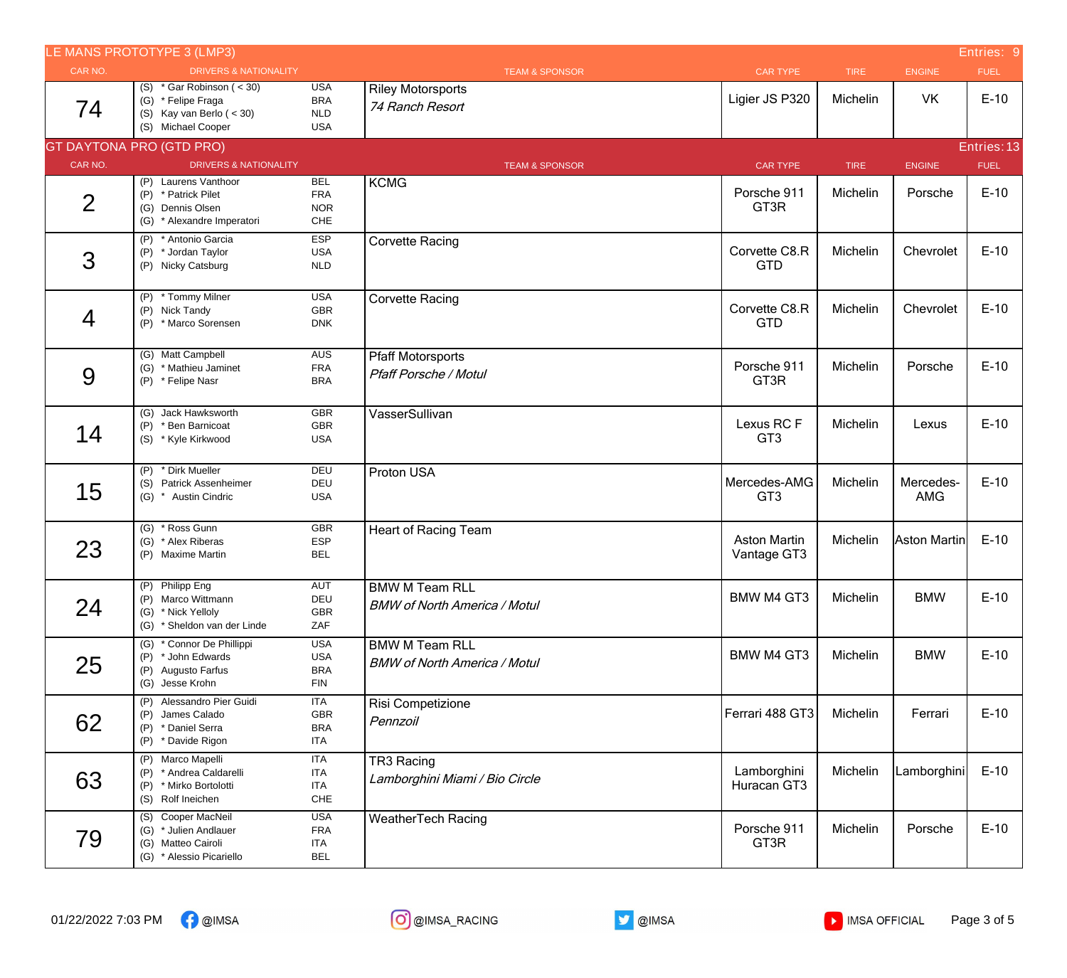|                | LE MANS PROTOTYPE 3 (LMP3)                                                                           |                                                      |                                                              |                                    |             |                         | Entries: 9  |
|----------------|------------------------------------------------------------------------------------------------------|------------------------------------------------------|--------------------------------------------------------------|------------------------------------|-------------|-------------------------|-------------|
| CAR NO.        | <b>DRIVERS &amp; NATIONALITY</b>                                                                     |                                                      | <b>TEAM &amp; SPONSOR</b>                                    | <b>CAR TYPE</b>                    | <b>TIRE</b> | ENGINE                  | <b>FUEL</b> |
| 74             | (S) $*$ Gar Robinson ( < 30)<br>(G) * Felipe Fraga<br>(S) Kay van Berlo $(30)$<br>(S) Michael Cooper | <b>USA</b><br><b>BRA</b><br>NLD<br><b>USA</b>        | <b>Riley Motorsports</b><br>74 Ranch Resort                  | Ligier JS P320                     | Michelin    | VK                      | $E-10$      |
|                | <b>GT DAYTONA PRO (GTD PRO)</b>                                                                      |                                                      |                                                              |                                    |             |                         | Entries: 13 |
| CAR NO.        | <b>DRIVERS &amp; NATIONALITY</b>                                                                     |                                                      | <b>TEAM &amp; SPONSOR</b>                                    | <b>CAR TYPE</b>                    | <b>TIRE</b> | <b>ENGINE</b>           | <b>FUEL</b> |
| $\overline{2}$ | (P) Laurens Vanthoor<br>(P) * Patrick Pilet<br>(G) Dennis Olsen<br>(G) * Alexandre Imperatori        | <b>BEL</b><br><b>FRA</b><br><b>NOR</b><br>CHE        | <b>KCMG</b>                                                  | Porsche 911<br>GT3R                | Michelin    | Porsche                 | $E-10$      |
| 3              | (P) * Antonio Garcia<br>(P) * Jordan Taylor<br>(P) Nicky Catsburg                                    | <b>ESP</b><br><b>USA</b><br><b>NLD</b>               | <b>Corvette Racing</b>                                       | Corvette C8.R<br><b>GTD</b>        | Michelin    | Chevrolet               | $E-10$      |
| $\overline{4}$ | (P) * Tommy Milner<br>(P) Nick Tandy<br>* Marco Sorensen<br>(P)                                      | <b>USA</b><br>GBR<br><b>DNK</b>                      | <b>Corvette Racing</b>                                       | Corvette C8.R<br><b>GTD</b>        | Michelin    | Chevrolet               | $E-10$      |
| 9              | (G) Matt Campbell<br>(G) * Mathieu Jaminet<br>(P) * Felipe Nasr                                      | AUS<br><b>FRA</b><br><b>BRA</b>                      | <b>Pfaff Motorsports</b><br><b>Pfaff Porsche / Motul</b>     | Porsche 911<br>GT3R                | Michelin    | Porsche                 | $E-10$      |
| 14             | (G) Jack Hawksworth<br>(P) * Ben Barnicoat<br>(S) * Kyle Kirkwood                                    | GBR<br>GBR<br><b>USA</b>                             | VasserSullivan                                               | Lexus RCF<br>GT <sub>3</sub>       | Michelin    | Lexus                   | $E-10$      |
| 15             | (P) * Dirk Mueller<br>(S) Patrick Assenheimer<br>(G) * Austin Cindric                                | DEU<br>DEU<br><b>USA</b>                             | Proton USA                                                   | Mercedes-AMG<br>GT <sub>3</sub>    | Michelin    | Mercedes-<br><b>AMG</b> | $E-10$      |
| 23             | (G) * Ross Gunn<br>(G) * Alex Riberas<br>(P) Maxime Martin                                           | <b>GBR</b><br>ESP<br><b>BEL</b>                      | <b>Heart of Racing Team</b>                                  | <b>Aston Martin</b><br>Vantage GT3 | Michelin    | Aston Martin            | $E-10$      |
| 24             | (P) Philipp Eng<br>(P) Marco Wittmann<br>(G) * Nick Yelloly<br>(G) * Sheldon van der Linde           | <b>AUT</b><br>DEU<br>GBR<br>ZAF                      | <b>BMW M Team RLL</b><br><b>BMW of North America / Motul</b> | BMW M4 GT3                         | Michelin    | <b>BMW</b>              | $E-10$      |
| 25             | (G) * Connor De Phillippi<br>(P) * John Edwards<br>(P) Augusto Farfus<br>(G) Jesse Krohn             | <b>USA</b><br><b>USA</b><br><b>BRA</b><br><b>FIN</b> | <b>BMW M Team RLL</b><br><b>BMW of North America / Motul</b> | <b>BMW M4 GT3</b>                  | Michelin    | <b>BMW</b>              | $E-10$      |
| 62             | (P) Alessandro Pier Guidi<br>(P) James Calado<br>(P) * Daniel Serra<br>(P) * Davide Rigon            | <b>ITA</b><br>GBR<br><b>BRA</b><br>ITA               | Risi Competizione<br>Pennzoil                                | Ferrari 488 GT3                    | Michelin    | Ferrari                 | $E-10$      |
| 63             | (P) Marco Mapelli<br>(P) * Andrea Caldarelli<br>(P) * Mirko Bortolotti<br>(S) Rolf Ineichen          | <b>ITA</b><br>ITA<br><b>ITA</b><br>CHE               | TR3 Racing<br>Lamborghini Miami / Bio Circle                 | Lamborghini<br>Huracan GT3         | Michelin    | Lamborghini             | $E-10$      |
| 79             | (S) Cooper MacNeil<br>(G) * Julien Andlauer<br>(G) Matteo Cairoli<br>(G) * Alessio Picariello        | <b>USA</b><br><b>FRA</b><br><b>ITA</b><br><b>BEL</b> | <b>WeatherTech Racing</b>                                    | Porsche 911<br>GT3R                | Michelin    | Porsche                 | $E-10$      |

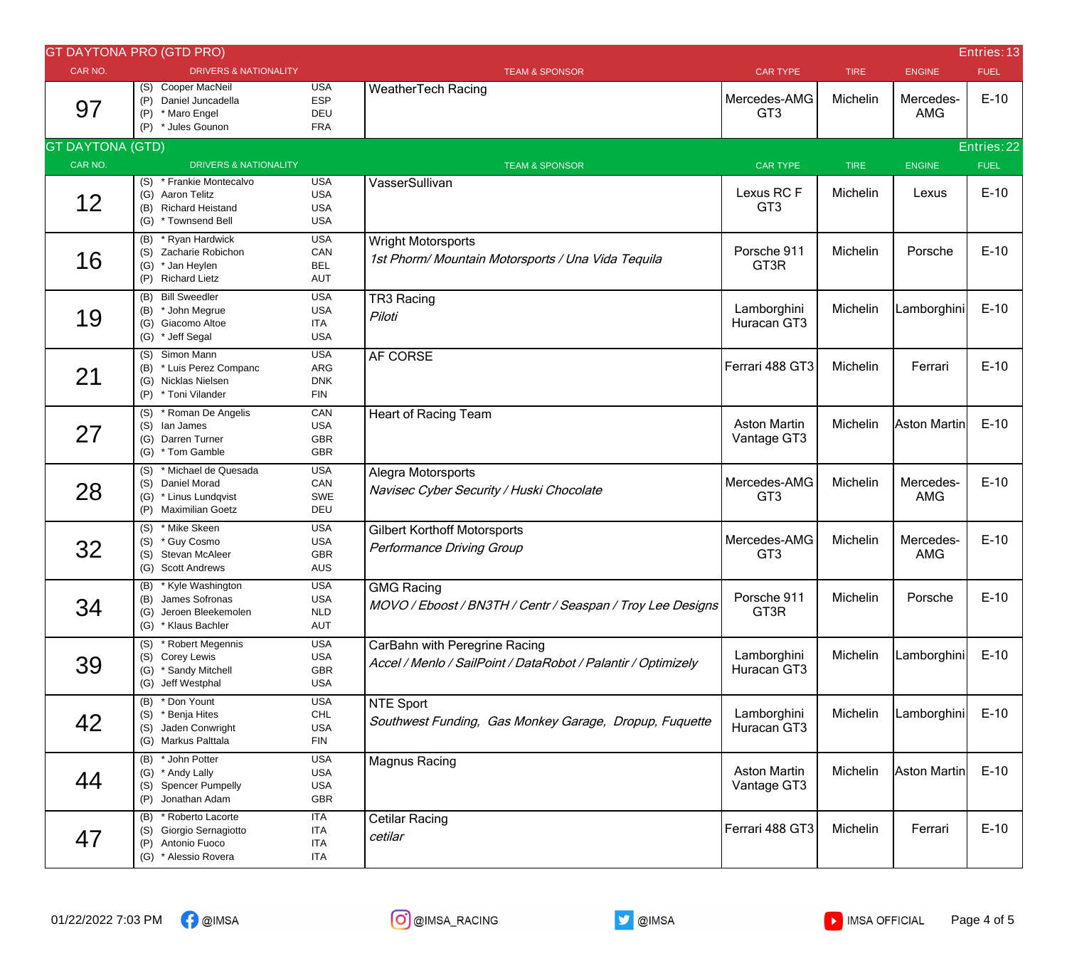|                         | <b>GT DAYTONA PRO (GTD PRO)</b>                                                                       |                                                      |                                                                                                |                                    |             |                         | Entries: 13 |
|-------------------------|-------------------------------------------------------------------------------------------------------|------------------------------------------------------|------------------------------------------------------------------------------------------------|------------------------------------|-------------|-------------------------|-------------|
| CAR NO.                 | <b>DRIVERS &amp; NATIONALITY</b>                                                                      |                                                      | <b>TEAM &amp; SPONSOR</b>                                                                      | <b>CAR TYPE</b>                    | <b>TIRE</b> | <b>ENGINE</b>           | <b>FUEL</b> |
| 97                      | (S) Cooper MacNeil<br>(P) Daniel Juncadella<br>* Maro Engel<br>(P)<br>(P) * Jules Gounon              | <b>USA</b><br><b>ESP</b><br>DEU<br><b>FRA</b>        | <b>WeatherTech Racing</b>                                                                      | Mercedes-AMG<br>GT <sub>3</sub>    | Michelin    | Mercedes-<br><b>AMG</b> | $E-10$      |
| <b>GT DAYTONA (GTD)</b> |                                                                                                       |                                                      |                                                                                                |                                    |             |                         | Entries: 22 |
| CAR NO.                 | <b>DRIVERS &amp; NATIONALITY</b>                                                                      |                                                      | <b>TEAM &amp; SPONSOR</b>                                                                      | <b>CAR TYPE</b>                    | <b>TIRE</b> | <b>ENGINE</b>           | <b>FUEL</b> |
| 12                      | (S) * Frankie Montecalvo<br>(G) Aaron Telitz<br><b>Richard Heistand</b><br>(B)<br>(G) * Townsend Bell | <b>USA</b><br><b>USA</b><br><b>USA</b><br><b>USA</b> | VasserSullivan                                                                                 | Lexus RCF<br>GT <sub>3</sub>       | Michelin    | Lexus                   | $E-10$      |
| 16                      | (B) * Ryan Hardwick<br>(S) Zacharie Robichon<br>(G) * Jan Heylen<br>(P) Richard Lietz                 | <b>USA</b><br>CAN<br><b>BEL</b><br><b>AUT</b>        | Wright Motorsports<br>1st Phorm/ Mountain Motorsports / Una Vida Tequila                       | Porsche 911<br>GT3R                | Michelin    | Porsche                 | $E-10$      |
| 19                      | (B) Bill Sweedler<br>(B) * John Megrue<br>(G) Giacomo Altoe<br>(G) * Jeff Segal                       | <b>USA</b><br><b>USA</b><br><b>ITA</b><br><b>USA</b> | TR3 Racing<br>Piloti                                                                           | Lamborghini<br>Huracan GT3         | Michelin    | Lamborghini             | $E-10$      |
| 21                      | Simon Mann<br>(S)<br>(B) * Luis Perez Companc<br>(G) Nicklas Nielsen<br>(P) * Toni Vilander           | <b>USA</b><br>ARG<br><b>DNK</b><br><b>FIN</b>        | AF CORSE                                                                                       | Ferrari 488 GT3                    | Michelin    | Ferrari                 | $E-10$      |
| 27                      | (S) * Roman De Angelis<br>(S) lan James<br>(G) Darren Turner<br>(G) * Tom Gamble                      | CAN<br><b>USA</b><br>GBR<br>GBR                      | <b>Heart of Racing Team</b>                                                                    | <b>Aston Martin</b><br>Vantage GT3 | Michelin    | Aston Martin            | $E-10$      |
| 28                      | * Michael de Quesada<br>(S)<br>(S) Daniel Morad<br>(G) * Linus Lundqvist<br>(P) Maximilian Goetz      | <b>USA</b><br>CAN<br>SWE<br>DEU                      | Alegra Motorsports<br>Navisec Cyber Security / Huski Chocolate                                 | Mercedes-AMG<br>GT <sub>3</sub>    | Michelin    | Mercedes-<br><b>AMG</b> | $E-10$      |
| 32                      | (S) * Mike Skeen<br>* Guy Cosmo<br>(S)<br>Stevan McAleer<br>(S)<br><b>Scott Andrews</b><br>(G)        | <b>USA</b><br><b>USA</b><br>GBR<br>AUS               | <b>Gilbert Korthoff Motorsports</b><br>Performance Driving Group                               | Mercedes-AMG<br>GT <sub>3</sub>    | Michelin    | Mercedes-<br><b>AMG</b> | $E-10$      |
| 34                      | (B) * Kyle Washington<br>(B) James Sofronas<br>(G) Jeroen Bleekemolen<br>(G) * Klaus Bachler          | <b>USA</b><br><b>USA</b><br><b>NLD</b><br>AUT        | <b>GMG Racing</b><br>MOVO / Eboost / BN3TH / Centr / Seaspan / Troy Lee Designs                | Porsche 911<br>GT3R                | Michelin    | Porsche                 | $E-10$      |
| 39                      | (S) * Robert Megennis<br>(S) Corey Lewis<br>(G) * Sandy Mitchell<br>(G) Jeff Westphal                 | <b>USA</b><br><b>USA</b><br>GBR<br><b>USA</b>        | CarBahn with Peregrine Racing<br>Accel / Menlo / SailPoint / DataRobot / Palantir / Optimizely | Lamborghini<br>Huracan GT3         | Michelin    | Lamborghini             | $E-10$      |
| 42                      | (B) * Don Yount<br>* Benja Hites<br>(S)<br>(S) Jaden Conwright<br>(G) Markus Palttala                 | <b>USA</b><br>CHL<br><b>USA</b><br><b>FIN</b>        | NTE Sport<br>Southwest Funding, Gas Monkey Garage, Dropup, Fuquette                            | Lamborghini<br>Huracan GT3         | Michelin    | Lamborghini             | $E-10$      |
| 44                      | (B) * John Potter<br>(G) * Andy Lally<br>(S) Spencer Pumpelly<br>(P) Jonathan Adam                    | <b>USA</b><br><b>USA</b><br><b>USA</b><br>GBR        | Magnus Racing                                                                                  | <b>Aston Martin</b><br>Vantage GT3 | Michelin    | Aston Martin            | $E-10$      |
| 47                      | (B) * Roberto Lacorte<br>(S) Giorgio Sernagiotto<br>(P) Antonio Fuoco<br>(G) * Alessio Rovera         | ITA<br><b>ITA</b><br><b>ITA</b><br>ITA               | Cetilar Racing<br>cetilar                                                                      | Ferrari 488 GT3                    | Michelin    | Ferrari                 | $E-10$      |